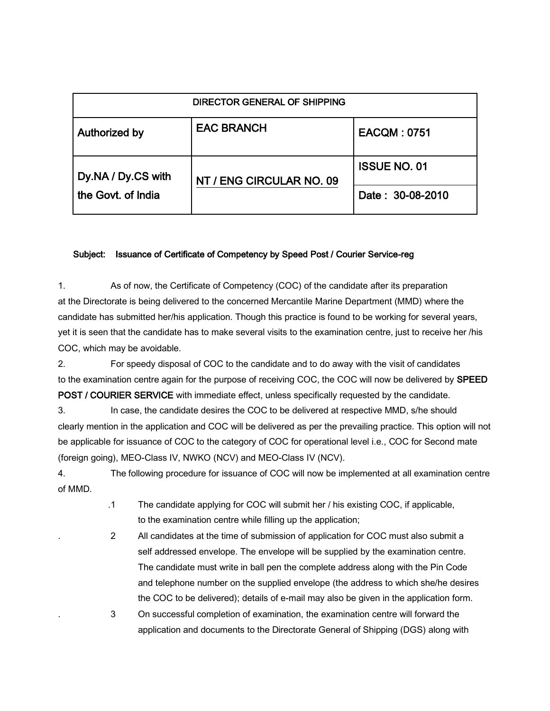| DIRECTOR GENERAL OF SHIPPING             |                          |                     |
|------------------------------------------|--------------------------|---------------------|
| Authorized by                            | <b>EAC BRANCH</b>        | <b>EACQM: 0751</b>  |
| Dy.NA / Dy.CS with<br>the Govt. of India | NT / ENG CIRCULAR NO. 09 | <b>ISSUE NO. 01</b> |
|                                          |                          | Date: 30-08-2010    |

## Subject: Issuance of Certificate of Competency by Speed Post / Courier Service-reg

1. As of now, the Certificate of Competency (COC) of the candidate after its preparation at the Directorate is being delivered to the concerned Mercantile Marine Department (MMD) where the candidate has submitted her/his application. Though this practice is found to be working for several years, yet it is seen that the candidate has to make several visits to the examination centre, just to receive her /his COC, which may be avoidable.

2. For speedy disposal of COC to the candidate and to do away with the visit of candidates to the examination centre again for the purpose of receiving COC, the COC will now be delivered by SPEED POST / COURIER SERVICE with immediate effect, unless specifically requested by the candidate.

3. In case, the candidate desires the COC to be delivered at respective MMD, s/he should clearly mention in the application and COC will be delivered as per the prevailing practice. This option will not be applicable for issuance of COC to the category of COC for operational level i.e., COC for Second mate (foreign going), MEO-Class IV, NWKO (NCV) and MEO-Class IV (NCV).

4. The following procedure for issuance of COC will now be implemented at all examination centre of MMD.

- .1 The candidate applying for COC will submit her / his existing COC, if applicable, to the examination centre while filling up the application;
- 2 All candidates at the time of submission of application for COC must also submit a self addressed envelope. The envelope will be supplied by the examination centre. The candidate must write in ball pen the complete address along with the Pin Code and telephone number on the supplied envelope (the address to which she/he desires the COC to be delivered); details of e-mail may also be given in the application form.

. 3 On successful completion of examination, the examination centre will forward the application and documents to the Directorate General of Shipping (DGS) along with